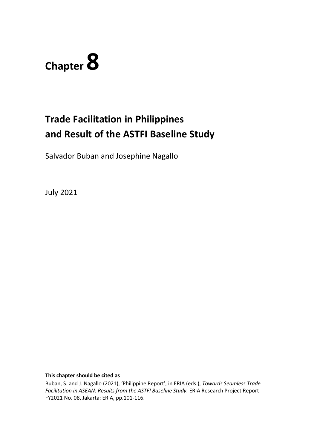

# **Trade Facilitation in Philippines and Result of the ASTFI Baseline Study**

Salvador Buban and Josephine Nagallo

July 2021

**This chapter should be cited as**

Buban, S. and J. Nagallo (2021), 'Philippine Report', in ERIA (eds.), *Towards Seamless Trade Facilitation in ASEAN: Results from the ASTFI Baseline Study.* ERIA Research Project Report FY2021 No. 08, Jakarta: ERIA, pp.101-116.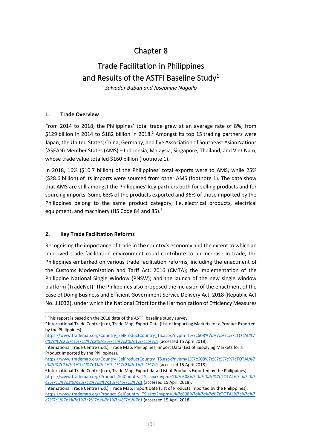# Chapter 8

# Trade Facilitation in Philippines and Results of the ASTFI Baseline Study<sup>1</sup>

*Salvador Buban and Josephine Nagallo*

# **1. Trade Overview**

From 2014 to 2018, the Philippines' total trade grew at an average rate of 8%, from \$129 billion in 2014 to \$182 billion in 2018.<sup>2</sup> Amongst its top 15 trading partners were Japan; the United States; China; Germany; and five Association of Southeast Asian Nations (ASEAN) Member States (AMS) – Indonesia, Malaysia, Singapore, Thailand, and Viet Nam, whose trade value totalled \$160 billion (footnote 1).

In 2018, 16% (\$10.7 billion) of the Philippines' total exports were to AMS, while 25% (\$28.6 billion) of its imports were sourced from other AMS (footnote 1). The data show that AMS are still amongst the Philippines' key partners both for selling products and for sourcing imports. Some 63% of the products exported and 36% of those imported by the Philippines belong to the same product category, i.e. electrical products, electrical equipment, and machinery (HS Code 84 and 85).<sup>3</sup>

# **2. Key Trade Facilitation Reforms**

Recognising the importance of trade in the country's economy and the extent to which an improved trade facilitation environment could contribute to an increase in trade, the Philippines embarked on various trade facilitation reforms, including the enactment of the Customs Modernization and Tarff Act, 2016 (CMTA); the implementation of the Philippine National Single Window (PNSW); and the launch of the new single window platform (TradeNet). The Philippines also proposed the inclusion of the enactment of the Ease of Doing Business and Efficient Government Service Delivery Act, 2018 (Republic Act No. 11032), under which the National Effort for the Harmonization of Efficiency Measures

[https://www.trademap.org/Country\\_SelProductCountry\\_TS.aspx?nvpm=1%7c608%7c%7c%7c%7cTOTAL%7](https://www.trademap.org/Country_SelProductCountry_TS.aspx?nvpm=1%7c608%7c%7c%7c%7cTOTAL%7c%7c%7c2%7c1%7c1%7c1%7c2%7c1%7c2%7c1%7c1%7c1) [c%7c%7c2%7c1%7c1%7c1%7c2%7c1%7c2%7c1%7c1%7c1](https://www.trademap.org/Country_SelProductCountry_TS.aspx?nvpm=1%7c608%7c%7c%7c%7cTOTAL%7c%7c%7c2%7c1%7c1%7c1%7c2%7c1%7c2%7c1%7c1%7c1) (accessed 15 April 2018).

3 International Trade Centre (n.d), Trade Map, Export data (List of Products Exported by the Philippines). [https://www.trademap.org/Product\\_SelCountry\\_TS.aspx?nvpm=1%7c608%7c%7c%7c%7cTOTAL%7c%7c%7](https://www.trademap.org/Product_SelCountry_TS.aspx?nvpm=1%7c608%7c%7c%7c%7cTOTAL%7c%7c%7c2%7c1%7c1%7c2%7c2%7c1%7c1%7c4%7c1%7c1) [c2%7c1%7c1%7c2%7c2%7c1%7c1%7c4%7c1%7c1](https://www.trademap.org/Product_SelCountry_TS.aspx?nvpm=1%7c608%7c%7c%7c%7cTOTAL%7c%7c%7c2%7c1%7c1%7c2%7c2%7c1%7c1%7c4%7c1%7c1) (accessed 15 April 2018);

International Trade Centre (n.d.), Trade Map, Import Data (List of Products Imported by the Philippines). https://www.trademap.org/Product\_SelCountry\_TS.aspx?nvpm=1%7c608%7c%7c%7c%7c%7cTOTAL%7c%7c%7 [c2%7c1%7c1%7c1%7c2%7c1%7c1%7c4%7c1%7c1](https://www.trademap.org/Product_SelCountry_TS.aspx?nvpm=1%7c608%7c%7c%7c%7cTOTAL%7c%7c%7c2%7c1%7c1%7c1%7c2%7c1%7c1%7c4%7c1%7c1) (accessed 15 April 2018)

<sup>&</sup>lt;sup>1</sup> This report is based on the 2018 data of the ASTFI baseline study survey.

<sup>2</sup> International Trade Centre (n.d), Trade Map, Export Data (List of Importing Markets for a Product Exported by the Philippines).

[https://www.trademap.org/Country\\_SelProductCountry\\_TS.aspx?nvpm=1%7c608%7c%7c%7c%7cTOTAL%7](https://www.trademap.org/Country_SelProductCountry_TS.aspx?nvpm=1%7c608%7c%7c%7c%7cTOTAL%7c%7c%7c2%7c1%7c1%7c2%7c2%7c1%7c2%7c1%7c1%7c1) [c%7c%7c2%7c1%7c1%7c2%7c2%7c1%7c2%7c1%7c1%7c1](https://www.trademap.org/Country_SelProductCountry_TS.aspx?nvpm=1%7c608%7c%7c%7c%7cTOTAL%7c%7c%7c2%7c1%7c1%7c2%7c2%7c1%7c2%7c1%7c1%7c1) (accessed 15 April 2018);

International Trade Centre (n.d.), Trade Map, Philippines, Import Data (List of Supplying Markets for a Product Imported by the Philippines).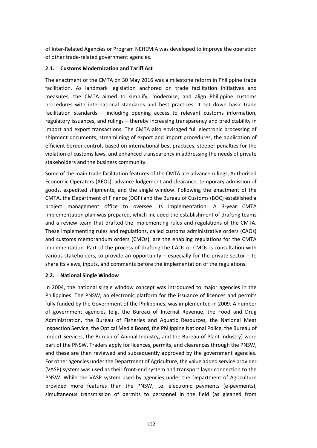of Inter-Related Agencies or Program NEHEMIA was developed to improve the operation of other trade-related government agencies.

# **2.1. Customs Modernization and Tariff Act**

The enactment of the CMTA on 30 May 2016 was a milestone reform in Philippine trade facilitation. As landmark legislation anchored on trade facilitation initiatives and measures, the CMTA aimed to simplify, modernise, and align Philippine customs procedures with international standards and best practices. It set down basic trade facilitation standards – including opening access to relevant customs information, regulatory issuances, and rulings – thereby increasing transparency and predictability in import and export transactions. The CMTA also envisaged full electronic processing of shipment documents, streamlining of export and import procedures, the application of efficient border controls based on international best practices, steeper penalties for the violation of customs laws, and enhanced transparency in addressing the needs of private stakeholders and the business community.

Some of the main trade facilitation features of the CMTA are advance rulings, Authorised Economic Operators (AEOs), advance lodgement and clearance, temporary admission of goods, expedited shipments, and the single window. Following the enactment of the CMTA, the Department of Finance (DOF) and the Bureau of Customs (BOC) established a project management office to oversee its implementation. A 3-year CMTA implementation plan was prepared, which included the establishment of drafting teams and a review team that drafted the implementing rules and regulations of the CMTA. These implementing rules and regulations, called customs administrative orders (CAOs) and customs memorandum orders (CMOs), are the enabling regulations for the CMTA implementation. Part of the process of drafting the CAOs or CMOs is consultation with various stakeholders, to provide an opportunity – especially for the private sector – to share its views, inputs, and comments before the implementation of the regulations.

#### **2.2. National Single Window**

In 2004, the national single window concept was introduced to major agencies in the Philippines. The PNSW, an electronic platform for the issuance of licences and permits fully funded by the Government of the Philippines, was implemented in 2009. A number of government agencies (e.g. the Bureau of Internal Revenue, the Food and Drug Administration, the Bureau of Fisheries and Aquatic Resources, the National Meat Inspection Service, the Optical Media Board, the Philippine National Police, the Bureau of Import Services, the Bureau of Animal Industry, and the Bureau of Plant Industry) were part of the PNSW. Traders apply for licences, permits, and clearances through the PNSW, and these are then reviewed and subsequently approved by the government agencies. For other agencies under the Department of Agriculture, the value added service provider (VASP) system was used as their front-end system and transport layer connection to the PNSW. While the VASP system used by agencies under the Department of Agriculture provided more features than the PNSW, i.e. electronic payments (e-payments), simultaneous transmission of permits to personnel in the field (as gleaned from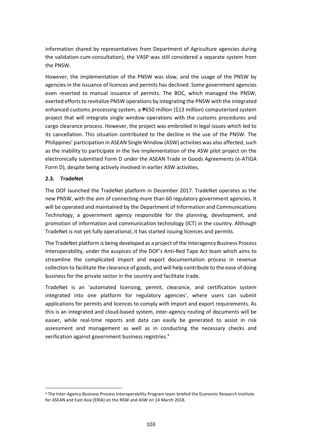information shared by representatives from Department of Agriculture agencies during the validation-cum-consultation), the VASP was still considered a separate system from the PNSW.

However, the implementation of the PNSW was slow, and the usage of the PNSW by agencies in the issuance of licences and permits has declined. Some government agencies even reverted to manual issuance of permits. The BOC, which managed the PNSW, exerted efforts to revitalize PNSW operations by integrating the PNSW with the integrated enhanced customs processing system, a <del>₱</del>650 million (\$13 million) computerised system project that will integrate single window operations with the customs procedures and cargo clearance process. However, the project was embroiled in legal issues which led to its cancellation. This situation contributed to the decline in the use of the PNSW. The Philippines' participation in ASEAN Single Window (ASW) activities was also affected, such as the inability to participate in the live implementation of the ASW pilot project on the electronically submitted Form D under the ASEAN Trade in Goods Agreements (e-ATIGA Form D), despite being actively involved in earlier ASW activities.

# **2.3. TradeNet**

The DOF launched the TradeNet platform in December 2017. TradeNet operates as the new PNSW, with the aim of connecting more than 60 regulatory government agencies. It will be operated and maintained by the Department of Information and Communications Technology, a government agency responsible for the planning, development, and promotion of information and communication technology (ICT) in the country. Although TradeNet is not yet fully operational, it has started issuing licences and permits.

The TradeNet platform is being developed as a project of the Interagency Business Process Interoperability, under the auspices of the DOF's Anti-Red Tape Act team which aims to streamline the complicated import and export documentation process in revenue collection to facilitate the clearance of goods, and will help contribute to the ease of doing business for the private sector in the country and facilitate trade.

TradeNet is an 'automated licensing, permit, clearance, and certification system integrated into one platform for regulatory agencies', where users can submit applications for permits and licences to comply with import and export requirements. As this is an integrated and cloud-based system, inter-agency routing of documents will be easier, while real-time reports and data can easily be generated to assist in risk assessment and management as well as in conducting the necessary checks and verification against government business registries.<sup>4</sup>

<sup>4</sup> The Inter-Agency Business Process Interoperability Program team briefed the Economic Research Institute for ASEAN and East Asia (ERIA) on the NSW and ASW on 14 March 2018.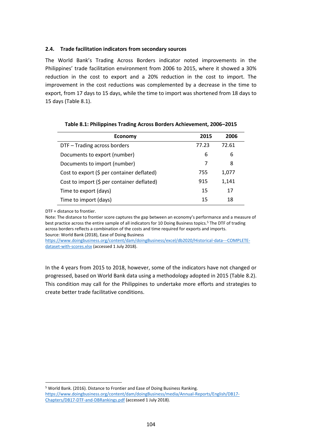#### **2.4. Trade facilitation indicators from secondary sources**

The World Bank's Trading Across Borders indicator noted improvements in the Philippines' trade facilitation environment from 2006 to 2015, where it showed a 30% reduction in the cost to export and a 20% reduction in the cost to import. The improvement in the cost reductions was complemented by a decrease in the time to export, from 17 days to 15 days, while the time to import was shortened from 18 days to 15 days (Table 8.1).

| <b>Economy</b>                             | 2015  | 2006  |
|--------------------------------------------|-------|-------|
| DTF - Trading across borders               | 77.23 | 72.61 |
| Documents to export (number)               | 6     | 6     |
| Documents to import (number)               |       | 8     |
| Cost to export (\$ per container deflated) | 755   | 1,077 |
| Cost to import (\$ per container deflated) | 915   | 1,141 |
| Time to export (days)                      | 15    | 17    |
| Time to import (days)                      | 15    | 18    |

**Table 8.1: Philippines Trading Across Borders Achievement, 2006–2015**

DTF = distance to frontier.

Note: The distance to frontier score captures the gap between an economy's performance and a measure of best practice across the entire sample of all indicators for 10 Doing Business topics.<sup>5</sup> The DTF of trading across borders reflects a combination of the costs and time required for exports and imports. Source: World Bank (2018), Ease of Doing Business

[https://www.doingbusiness.org/content/dam/doingBusiness/excel/db2020/Historical-data---COMPLETE](https://www.doingbusiness.org/content/dam/doingBusiness/excel/db2020/Historical-data---COMPLETE-dataset-with-scores.xlsx)[dataset-with-scores.xlsx](https://www.doingbusiness.org/content/dam/doingBusiness/excel/db2020/Historical-data---COMPLETE-dataset-with-scores.xlsx) (accessed 1 July 2018).

In the 4 years from 2015 to 2018, however, some of the indicators have not changed or progressed, based on World Bank data using a methodology adopted in 2015 (Table 8.2). This condition may call for the Philippines to undertake more efforts and strategies to create better trade facilitative conditions.

<sup>5</sup> World Bank. (2016). Distance to Frontier and Ease of Doing Business Ranking. [https://www.doingbusiness.org/content/dam/doingBusiness/media/Annual-Reports/English/DB17-](https://www.doingbusiness.org/content/dam/doingBusiness/media/Annual-Reports/English/DB17-Chapters/DB17-DTF-and-DBRankings.pdf) [Chapters/DB17-DTF-and-DBRankings.pdf](https://www.doingbusiness.org/content/dam/doingBusiness/media/Annual-Reports/English/DB17-Chapters/DB17-DTF-and-DBRankings.pdf) (accessed 1 July 2018).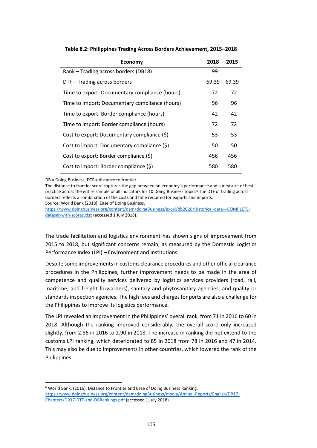| <b>Economy</b>                                 | 2018  | 2015  |
|------------------------------------------------|-------|-------|
| Rank - Trading across borders (DB18)           | 99    |       |
| DTF - Trading across borders                   | 69.39 | 69.39 |
| Time to export: Documentary compliance (hours) | 72    | 72    |
| Time to import: Documentary compliance (hours) | 96    | 96    |
| Time to export: Border compliance (hours)      | 42    | 42    |
| Time to import: Border compliance (hours)      | 72    | 72    |
| Cost to export: Documentary compliance (\$)    | 53    | 53    |
| Cost to import: Documentary compliance (\$)    | 50    | 50    |
| Cost to export: Border compliance (\$)         | 456   | 456   |
| Cost to import: Border compliance (\$)         | 580   | 580   |

**Table 8.2: Philippines Trading Across Borders Achievement, 2015–2018**

DB = Doing Business, DTF = distance to frontier.

The distance to frontier score captures the gap between an economy's performance and a measure of best practice across the entire sample of all indicators for 10 Doing Business topics<sup>6</sup> The DTF of trading across borders reflects a combination of the costs and time required for exports and imports. Source: World Bank (2018), Ease of Doing Business.

[https://www.doingbusiness.org/content/dam/doingBusiness/excel/db2020/Historical-data---COMPLETE](https://www.doingbusiness.org/content/dam/doingBusiness/excel/db2020/Historical-data---COMPLETE-dataset-with-scores.xlsx)[dataset-with-scores.xlsx](https://www.doingbusiness.org/content/dam/doingBusiness/excel/db2020/Historical-data---COMPLETE-dataset-with-scores.xlsx) (accessed 1 July 2018).

The trade facilitation and logistics environment has shown signs of improvement from 2015 to 2018, but significant concerns remain, as measured by the Domestic Logistics Performance Index (LPI) – Environment and Institutions.

Despite some improvements in customs clearance procedures and other official clearance procedures in the Philippines, further improvement needs to be made in the area of competence and quality services delivered by logistics services providers (road, rail, maritime, and freight forwarders), sanitary and phytosanitary agencies, and quality or standards inspection agencies. The high fees and charges for ports are also a challenge for the Philippines to improve its logistics performance.

The LPI revealed an improvement in the Philippines' overall rank, from 71 in 2016 to 60 in 2018. Although the ranking improved considerably, the overall score only increased slightly, from 2.86 in 2016 to 2.90 in 2018. The increase in ranking did not extend to the customs LPI ranking, which deteriorated to 85 in 2018 from 78 in 2016 and 47 in 2014. This may also be due to improvements in other countries, which lowered the rank of the Philippines.

<sup>6</sup> World Bank. (2016). Distance to Frontier and Ease of Doing Business Ranking. [https://www.doingbusiness.org/content/dam/doingBusiness/media/Annual-Reports/English/DB17-](https://www.doingbusiness.org/content/dam/doingBusiness/media/Annual-Reports/English/DB17-Chapters/DB17-DTF-and-DBRankings.pdf) [Chapters/DB17-DTF-and-DBRankings.pdf](https://www.doingbusiness.org/content/dam/doingBusiness/media/Annual-Reports/English/DB17-Chapters/DB17-DTF-and-DBRankings.pdf) (accessed 1 July 2018).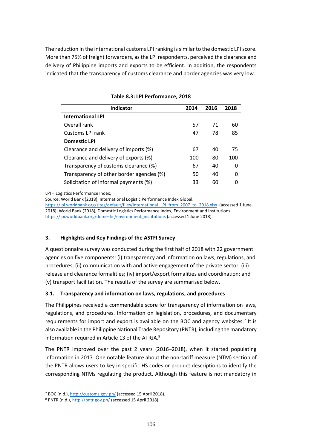The reduction in the international customs LPI ranking is similar to the domestic LPI score. More than 75% of freight forwarders, as the LPI respondents, perceived the clearance and delivery of Philippine imports and exports to be efficient. In addition, the respondents indicated that the transparency of customs clearance and border agencies was very low.

| <b>Indicator</b>                          | 2014 | 2016 | 2018 |
|-------------------------------------------|------|------|------|
| <b>International LPI</b>                  |      |      |      |
| Overall rank                              | 57   | 71   | 60   |
| Customs LPI rank                          | 47   | 78   | 85   |
| <b>Domestic LPI</b>                       |      |      |      |
| Clearance and delivery of imports (%)     | 67   | 40   | 75   |
| Clearance and delivery of exports (%)     | 100  | 80   | 100  |
| Transparency of customs clearance (%)     | 67   | 40   | 0    |
| Transparency of other border agencies (%) | 50   | 40   | 0    |
| Solicitation of informal payments (%)     | 33   | 60   | O    |

**Table 8.3: LPI Performance, 2018**

LPI = Logistics Performance Index.

Source: World Bank (2018), International Logistic Performance Index Global.

[https://lpi.worldbank.org/sites/default/files/International\\_LPI\\_from\\_2007\\_to\\_2018.xlsx](https://lpi.worldbank.org/sites/default/files/International_LPI_from_2007_to_2018.xlsx) (accessed 1 June 2018); World Bank (2018), Domestic Logistics Performance Index, Environment and Institutions. [https://lpi.worldbank.org/domestic/environment\\_institutions](https://lpi.worldbank.org/domestic/environment_institutions) (accessed 1 June 2018).

# **3. Highlights and Key Findings of the ASTFI Survey**

A questionnaire survey was conducted during the first half of 2018 with 22 government agencies on five components: (i) transparency and information on laws, regulations, and procedures; (ii) communication with and active engagement of the private sector; (iii) release and clearance formalities; (iv) import/export formalities and coordination; and (v) transport facilitation. The results of the survey are summarised below.

# **3.1. Transparency and information on laws, regulations, and procedures**

The Philippines received a commendable score for transparency of information on laws, regulations, and procedures. Information on legislation, procedures, and documentary requirements for import and export is available on the BOC and agency websites.<sup>7</sup> It is also available in the Philippine National Trade Repository (PNTR), including the mandatory information required in Article 13 of the ATIGA.<sup>8</sup>

The PNTR improved over the past 2 years (2016–2018), when it started populating information in 2017. One notable feature about the non-tariff measure (NTM) section of the PNTR allows users to key in specific HS codes or product descriptions to identify the corresponding NTMs regulating the product. Although this feature is not mandatory in

<sup>7</sup> BOC (n.d.)[, http://customs.gov.ph/](http://customs.gov.ph/) (accessed 15 April 2018).

<sup>8</sup> PNTR (n.d.)[, http://pntr.gov.ph/](http://pntr.gov.ph/) (accessed 15 April 2018).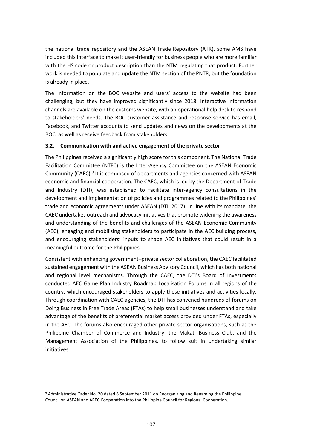the national trade repository and the ASEAN Trade Repository (ATR), some AMS have included this interface to make it user-friendly for business people who are more familiar with the HS code or product description than the NTM regulating that product. Further work is needed to populate and update the NTM section of the PNTR, but the foundation is already in place.

The information on the BOC website and users' access to the website had been challenging, but they have improved significantly since 2018. Interactive information channels are available on the customs website, with an operational help desk to respond to stakeholders' needs. The BOC customer assistance and response service has email, Facebook, and Twitter accounts to send updates and news on the developments at the BOC, as well as receive feedback from stakeholders.

# **3.2. Communication with and active engagement of the private sector**

The Philippines received a significantly high score for this component. The National Trade Facilitation Committee (NTFC) is the Inter-Agency Committee on the ASEAN Economic Community (CAEC).<sup>9</sup> It is composed of departments and agencies concerned with ASEAN economic and financial cooperation. The CAEC, which is led by the Department of Trade and Industry (DTI), was established to facilitate inter-agency consultations in the development and implementation of policies and programmes related to the Philippines' trade and economic agreements under ASEAN (DTI, 2017). In line with its mandate, the CAEC undertakes outreach and advocacy initiatives that promote widening the awareness and understanding of the benefits and challenges of the ASEAN Economic Community (AEC), engaging and mobilising stakeholders to participate in the AEC building process, and encouraging stakeholders' inputs to shape AEC initiatives that could result in a meaningful outcome for the Philippines.

Consistent with enhancing government–private sector collaboration, the CAEC facilitated sustained engagement with the ASEAN Business Advisory Council, which has both national and regional level mechanisms. Through the CAEC, the DTI's Board of Investments conducted AEC Game Plan Industry Roadmap Localisation Forums in all regions of the country, which encouraged stakeholders to apply these initiatives and activities locally. Through coordination with CAEC agencies, the DTI has convened hundreds of forums on Doing Business in Free Trade Areas (FTAs) to help small businesses understand and take advantage of the benefits of preferential market access provided under FTAs, especially in the AEC. The forums also encouraged other private sector organisations, such as the Philippine Chamber of Commerce and Industry, the Makati Business Club, and the Management Association of the Philippines, to follow suit in undertaking similar initiatives.

<sup>9</sup> Administrative Order No. 20 dated 6 September 2011 on Reorganizing and Renaming the Philippine Council on ASEAN and APEC Cooperation into the Philippine Council for Regional Cooperation.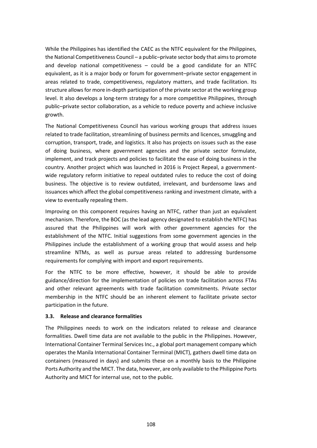While the Philippines has identified the CAEC as the NTFC equivalent for the Philippines, the National Competitiveness Council – a public–private sector body that aims to promote and develop national competitiveness – could be a good candidate for an NTFC equivalent, as it is a major body or forum for government–private sector engagement in areas related to trade, competitiveness, regulatory matters, and trade facilitation. Its structure allows for more in-depth participation of the private sector at the working group level. It also develops a long-term strategy for a more competitive Philippines, through public–private sector collaboration, as a vehicle to reduce poverty and achieve inclusive growth.

The National Competitiveness Council has various working groups that address issues related to trade facilitation, streamlining of business permits and licences, smuggling and corruption, transport, trade, and logistics. It also has projects on issues such as the ease of doing business, where government agencies and the private sector formulate, implement, and track projects and policies to facilitate the ease of doing business in the country. Another project which was launched in 2016 is Project Repeal, a governmentwide regulatory reform initiative to repeal outdated rules to reduce the cost of doing business. The objective is to review outdated, irrelevant, and burdensome laws and issuances which affect the global competitiveness ranking and investment climate, with a view to eventually repealing them.

Improving on this component requires having an NTFC, rather than just an equivalent mechanism. Therefore, the BOC (as the lead agency designated to establish the NTFC) has assured that the Philippines will work with other government agencies for the establishment of the NTFC. Initial suggestions from some government agencies in the Philippines include the establishment of a working group that would assess and help streamline NTMs, as well as pursue areas related to addressing burdensome requirements for complying with import and export requirements.

For the NTFC to be more effective, however, it should be able to provide guidance/direction for the implementation of policies on trade facilitation across FTAs and other relevant agreements with trade facilitation commitments. Private sector membership in the NTFC should be an inherent element to facilitate private sector participation in the future.

#### **3.3. Release and clearance formalities**

The Philippines needs to work on the indicators related to release and clearance formalities. Dwell time data are not available to the public in the Philippines. However, International Container Terminal Services Inc., a global port management company which operates the Manila International Container Terminal (MICT), gathers dwell time data on containers (measured in days) and submits these on a monthly basis to the Philippine Ports Authority and the MICT. The data, however, are only available to the Philippine Ports Authority and MICT for internal use, not to the public.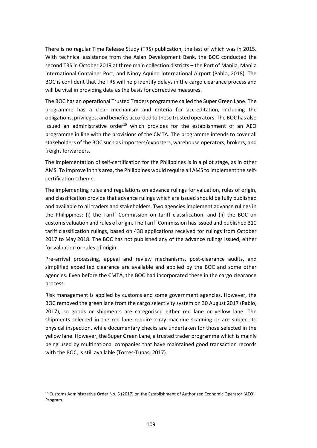There is no regular Time Release Study (TRS) publication, the last of which was in 2015. With technical assistance from the Asian Development Bank, the BOC conducted the second TRS in October 2019 at three main collection districts – the Port of Manila, Manila International Container Port, and Ninoy Aquino International Airport (Pablo, 2018). The BOC is confident that the TRS will help identify delays in the cargo clearance process and will be vital in providing data as the basis for corrective measures.

The BOC has an operational Trusted Traders programme called the Super Green Lane. The programme has a clear mechanism and criteria for accreditation, including the obligations, privileges, and benefits accorded to these trusted operators. The BOC has also issued an administrative order<sup>10</sup> which provides for the establishment of an AEO programme in line with the provisions of the CMTA. The programme intends to cover all stakeholders of the BOC such as importers/exporters, warehouse operators, brokers, and freight forwarders.

The implementation of self-certification for the Philippines is in a pilot stage, as in other AMS. To improve in this area, the Philippines would require all AMS to implement the selfcertification scheme.

The implementing rules and regulations on advance rulings for valuation, rules of origin, and classification provide that advance rulings which are issued should be fully published and available to all traders and stakeholders. Two agencies implement advance rulings in the Philippines: (i) the Tariff Commission on tariff classification, and (ii) the BOC on customs valuation and rules of origin. The Tariff Commission has issued and published 310 tariff classification rulings, based on 438 applications received for rulings from October 2017 to May 2018. The BOC has not published any of the advance rulings issued, either for valuation or rules of origin.

Pre-arrival processing, appeal and review mechanisms, post-clearance audits, and simplified expedited clearance are available and applied by the BOC and some other agencies. Even before the CMTA, the BOC had incorporated these in the cargo clearance process.

Risk management is applied by customs and some government agencies. However, the BOC removed the green lane from the cargo selectivity system on 30 August 2017 (Pablo, 2017), so goods or shipments are categorised either red lane or yellow lane. The shipments selected in the red lane require x-ray machine scanning or are subject to physical inspection, while documentary checks are undertaken for those selected in the yellow lane. However, the Super Green Lane, a trusted trader programme which is mainly being used by multinational companies that have maintained good transaction records with the BOC, is still available (Torres-Tupas, 2017).

<sup>10</sup> Customs Administrative Order No. 5 (2017) on the Establishment of Authorized Economic Operator (AEO) Program.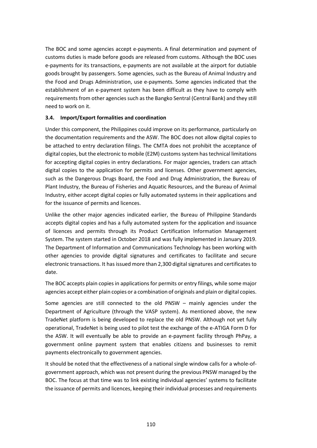The BOC and some agencies accept e-payments. A final determination and payment of customs duties is made before goods are released from customs. Although the BOC uses e-payments for its transactions, e-payments are not available at the airport for dutiable goods brought by passengers. Some agencies, such as the Bureau of Animal Industry and the Food and Drugs Administration, use e-payments. Some agencies indicated that the establishment of an e-payment system has been difficult as they have to comply with requirements from other agencies such as the Bangko Sentral (Central Bank) and they still need to work on it.

# **3.4. Import/Export formalities and coordination**

Under this component, the Philippines could improve on its performance, particularly on the documentation requirements and the ASW. The BOC does not allow digital copies to be attached to entry declaration filings. The CMTA does not prohibit the acceptance of digital copies, but the electronic to mobile (E2M) customs system has technical limitations for accepting digital copies in entry declarations. For major agencies, traders can attach digital copies to the application for permits and licenses. Other government agencies, such as the Dangerous Drugs Board, the Food and Drug Administration, the Bureau of Plant Industry, the Bureau of Fisheries and Aquatic Resources, and the Bureau of Animal Industry, either accept digital copies or fully automated systems in their applications and for the issuance of permits and licences.

Unlike the other major agencies indicated earlier, the Bureau of Philippine Standards accepts digital copies and has a fully automated system for the application and issuance of licences and permits through its Product Certification Information Management System. The system started in October 2018 and was fully implemented in January 2019. The Department of Information and Communications Technology has been working with other agencies to provide digital signatures and certificates to facilitate and secure electronic transactions. It has issued more than 2,300 digital signatures and certificates to date.

The BOC accepts plain copies in applications for permits or entry filings, while some major agencies accept either plain copies or a combination of originals and plain or digital copies.

Some agencies are still connected to the old PNSW – mainly agencies under the Department of Agriculture (through the VASP system). As mentioned above, the new TradeNet platform is being developed to replace the old PNSW. Although not yet fully operational, TradeNet is being used to pilot test the exchange of the e-ATIGA Form D for the ASW. It will eventually be able to provide an e-payment facility through PhPay, a government online payment system that enables citizens and businesses to remit payments electronically to government agencies.

It should be noted that the effectiveness of a national single window calls for a whole-ofgovernment approach, which was not present during the previous PNSW managed by the BOC. The focus at that time was to link existing individual agencies' systems to facilitate the issuance of permits and licences, keeping their individual processes and requirements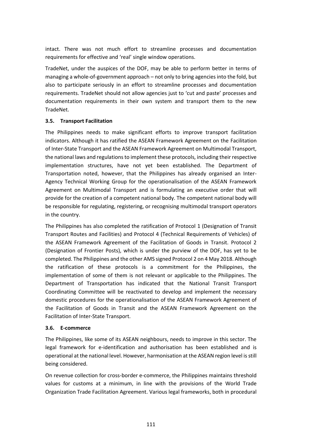intact. There was not much effort to streamline processes and documentation requirements for effective and 'real' single window operations.

TradeNet, under the auspices of the DOF, may be able to perform better in terms of managing a whole-of-government approach – not only to bring agencies into the fold, but also to participate seriously in an effort to streamline processes and documentation requirements. TradeNet should not allow agencies just to 'cut and paste' processes and documentation requirements in their own system and transport them to the new TradeNet.

# **3.5. Transport Facilitation**

The Philippines needs to make significant efforts to improve transport facilitation indicators. Although it has ratified the ASEAN Framework Agreement on the Facilitation of Inter-State Transport and the ASEAN Framework Agreement on Multimodal Transport, the national laws and regulations to implement these protocols, including their respective implementation structures, have not yet been established. The Department of Transportation noted, however, that the Philippines has already organised an Inter-Agency Technical Working Group for the operationalisation of the ASEAN Framework Agreement on Multimodal Transport and is formulating an executive order that will provide for the creation of a competent national body. The competent national body will be responsible for regulating, registering, or recognising multimodal transport operators in the country.

The Philippines has also completed the ratification of Protocol 1 (Designation of Transit Transport Routes and Facilities) and Protocol 4 (Technical Requirements of Vehicles) of the ASEAN Framework Agreement of the Facilitation of Goods in Transit. Protocol 2 (Designation of Frontier Posts), which is under the purview of the DOF, has yet to be completed. The Philippines and the other AMS signed Protocol 2 on 4 May 2018. Although the ratification of these protocols is a commitment for the Philippines, the implementation of some of them is not relevant or applicable to the Philippines. The Department of Transportation has indicated that the National Transit Transport Coordinating Committee will be reactivated to develop and implement the necessary domestic procedures for the operationalisation of the ASEAN Framework Agreement of the Facilitation of Goods in Transit and the ASEAN Framework Agreement on the Facilitation of Inter-State Transport.

# **3.6. E-commerce**

The Philippines, like some of its ASEAN neighbours, needs to improve in this sector. The legal framework for e-identification and authorisation has been established and is operational at the national level. However, harmonisation at the ASEAN region level is still being considered.

On revenue collection for cross-border e-commerce, the Philippines maintains threshold values for customs at a minimum, in line with the provisions of the World Trade Organization Trade Facilitation Agreement. Various legal frameworks, both in procedural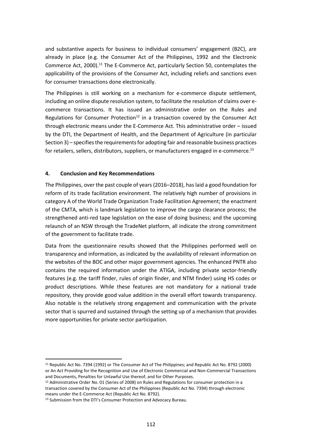and substantive aspects for business to individual consumers' engagement (B2C), are already in place (e.g. the Consumer Act of the Philippines, 1992 and the Electronic Commerce Act, 2000).<sup>11</sup> The E-Commerce Act, particularly Section 50, contemplates the applicability of the provisions of the Consumer Act, including reliefs and sanctions even for consumer transactions done electronically.

The Philippines is still working on a mechanism for e-commerce dispute settlement, including an online dispute resolution system, to facilitate the resolution of claims over ecommerce transactions. It has issued an administrative order on the Rules and Regulations for Consumer Protection<sup>12</sup> in a transaction covered by the Consumer Act through electronic means under the E-Commerce Act. This administrative order – issued by the DTI, the Department of Health, and the Department of Agriculture (in particular Section 3) – specifies the requirements for adopting fair and reasonable business practices for retailers, sellers, distributors, suppliers, or manufacturers engaged in e-commerce.<sup>13</sup>

#### **4. Conclusion and Key Recommendations**

The Philippines, over the past couple of years (2016–2018), has laid a good foundation for reform of its trade facilitation environment. The relatively high number of provisions in category A of the World Trade Organization Trade Facilitation Agreement; the enactment of the CMTA, which is landmark legislation to improve the cargo clearance process; the strengthened anti-red tape legislation on the ease of doing business; and the upcoming relaunch of an NSW through the TradeNet platform, all indicate the strong commitment of the government to facilitate trade.

Data from the questionnaire results showed that the Philippines performed well on transparency and information, as indicated by the availability of relevant information on the websites of the BOC and other major government agencies. The enhanced PNTR also contains the required information under the ATIGA, including private sector-friendly features (e.g. the tariff finder, rules of origin finder, and NTM finder) using HS codes or product descriptions. While these features are not mandatory for a national trade repository, they provide good value addition in the overall effort towards transparency. Also notable is the relatively strong engagement and communication with the private sector that is spurred and sustained through the setting up of a mechanism that provides more opportunities for private sector participation.

<sup>11</sup> Republic Act No. 7394 (1992) or The Consumer Act of The Philippines; and Republic Act No. 8792 (2000) or An Act Providing for the Recognition and Use of Electronic Commercial and Non-Commercial Transactions and Documents, Penalties for Unlawful Use thereof, and for Other Purposes.

<sup>12</sup> Administrative Order No. 01 (Series of 2008) on Rules and Regulations for consumer protection in a transaction covered by the Consumer Act of the Philippines (Republic Act No. 7394) through electronic means under the E-Commerce Act (Republic Act No. 8792).

<sup>&</sup>lt;sup>13</sup> Submission from the DTI's Consumer Protection and Advocacy Bureau.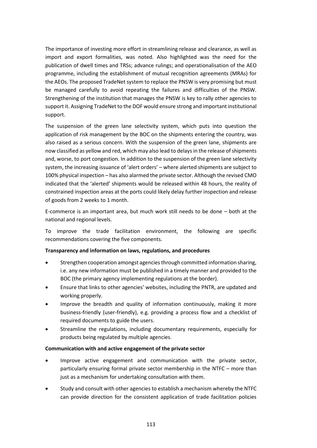The importance of investing more effort in streamlining release and clearance, as well as import and export formalities, was noted. Also highlighted was the need for the publication of dwell times and TRSs; advance rulings; and operationalisation of the AEO programme, including the establishment of mutual recognition agreements (MRAs) for the AEOs. The proposed TradeNet system to replace the PNSW is very promising but must be managed carefully to avoid repeating the failures and difficulties of the PNSW. Strengthening of the institution that manages the PNSW is key to rally other agencies to support it. Assigning TradeNet to the DOF would ensure strong and important institutional support.

The suspension of the green lane selectivity system, which puts into question the application of risk management by the BOC on the shipments entering the country, was also raised as a serious concern. With the suspension of the green lane, shipments are now classified as yellow and red, which may also lead to delays in the release of shipments and, worse, to port congestion. In addition to the suspension of the green lane selectivity system, the increasing issuance of 'alert orders' – where alerted shipments are subject to 100% physical inspection – has also alarmed the private sector. Although the revised CMO indicated that the 'alerted' shipments would be released within 48 hours, the reality of constrained inspection areas at the ports could likely delay further inspection and release of goods from 2 weeks to 1 month.

E-commerce is an important area, but much work still needs to be done – both at the national and regional levels.

To improve the trade facilitation environment, the following are specific recommendations covering the five components.

#### **Transparency and information on laws, regulations, and procedures**

- Strengthen cooperation amongst agencies through committed information sharing, i.e. any new information must be published in a timely manner and provided to the BOC (the primary agency implementing regulations at the border).
- Ensure that links to other agencies' websites, including the PNTR, are updated and working properly.
- Improve the breadth and quality of information continuously, making it more business-friendly (user-friendly), e.g. providing a process flow and a checklist of required documents to guide the users.
- Streamline the regulations, including documentary requirements, especially for products being regulated by multiple agencies.

#### **Communication with and active engagement of the private sector**

- Improve active engagement and communication with the private sector, particularly ensuring formal private sector membership in the NTFC – more than just as a mechanism for undertaking consultation with them.
- Study and consult with other agencies to establish a mechanism whereby the NTFC can provide direction for the consistent application of trade facilitation policies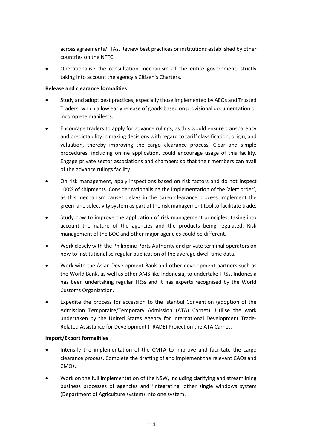across agreements/FTAs. Review best practices or institutions established by other countries on the NTFC.

• Operationalise the consultation mechanism of the entire government, strictly taking into account the agency's Citizen's Charters.

#### **Release and clearance formalities**

- Study and adopt best practices, especially those implemented by AEOs and Trusted Traders, which allow early release of goods based on provisional documentation or incomplete manifests.
- Encourage traders to apply for advance rulings, as this would ensure transparency and predictability in making decisions with regard to tariff classification, origin, and valuation, thereby improving the cargo clearance process. Clear and simple procedures, including online application, could encourage usage of this facility. Engage private sector associations and chambers so that their members can avail of the advance rulings facility.
- On risk management, apply inspections based on risk factors and do not inspect 100% of shipments. Consider rationalising the implementation of the 'alert order', as this mechanism causes delays in the cargo clearance process. Implement the green lane selectivity system as part of the risk management tool to facilitate trade.
- Study how to improve the application of risk management principles, taking into account the nature of the agencies and the products being regulated. Risk management of the BOC and other major agencies could be different.
- Work closely with the Philippine Ports Authority and private terminal operators on how to institutionalise regular publication of the average dwell time data.
- Work with the Asian Development Bank and other development partners such as the World Bank, as well as other AMS like Indonesia, to undertake TRSs. Indonesia has been undertaking regular TRSs and it has experts recognised by the World Customs Organization.
- Expedite the process for accession to the Istanbul Convention (adoption of the Admission Temporaire/Temporary Admission (ATA) Carnet). Utilise the work undertaken by the United States Agency for International Development Trade-Related Assistance for Development (TRADE) Project on the ATA Carnet.

#### **Import/Export formalities**

- Intensify the implementation of the CMTA to improve and facilitate the cargo clearance process. Complete the drafting of and implement the relevant CAOs and CMOs.
- Work on the full implementation of the NSW, including clarifying and streamlining business processes of agencies and 'integrating' other single windows system (Department of Agriculture system) into one system.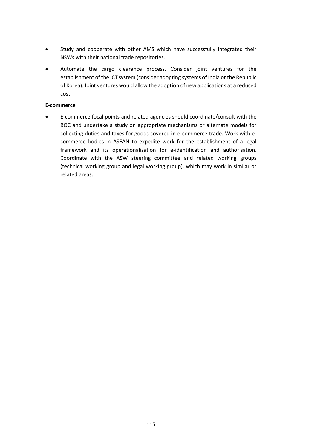- Study and cooperate with other AMS which have successfully integrated their NSWs with their national trade repositories.
- Automate the cargo clearance process. Consider joint ventures for the establishment of the ICT system (consider adopting systems of India or the Republic of Korea). Joint ventures would allow the adoption of new applications at a reduced cost.

#### **E-commerce**

• E-commerce focal points and related agencies should coordinate/consult with the BOC and undertake a study on appropriate mechanisms or alternate models for collecting duties and taxes for goods covered in e-commerce trade. Work with ecommerce bodies in ASEAN to expedite work for the establishment of a legal framework and its operationalisation for e-identification and authorisation. Coordinate with the ASW steering committee and related working groups (technical working group and legal working group), which may work in similar or related areas.